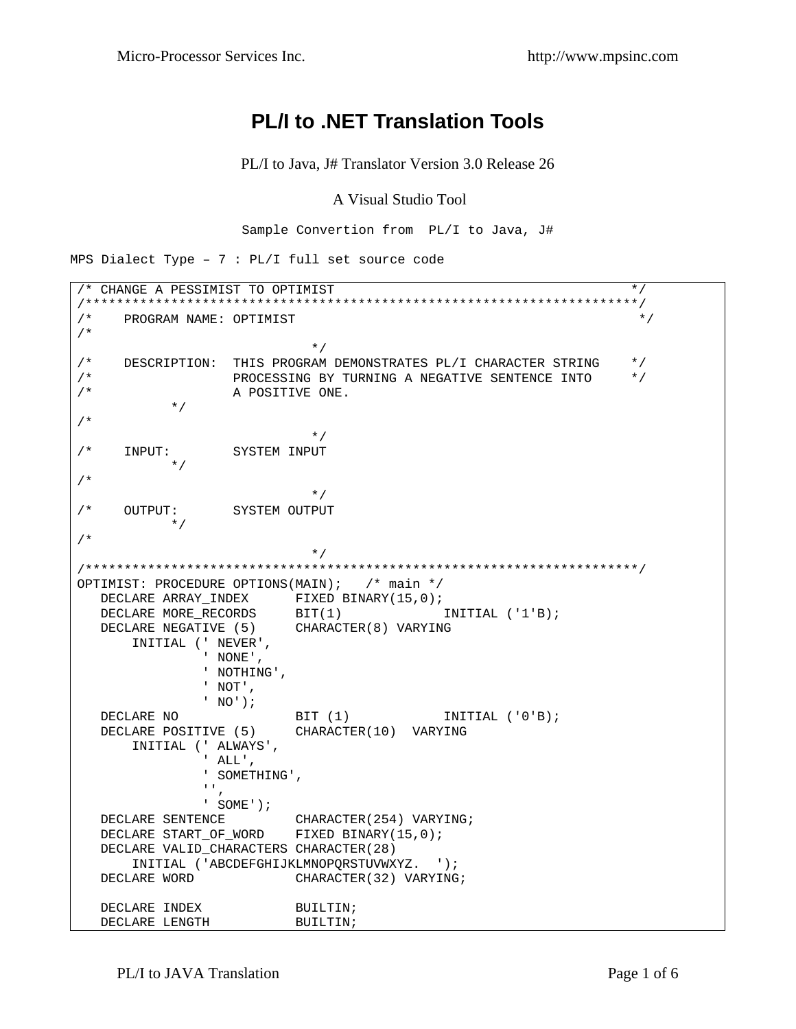## **PL/I to .NET Translation Tools**

PL/I to Java, J# Translator Version 3.0 Release 26

## A Visual Studio Tool

Sample Convertion from PL/I to Java, J#

MPS Dialect Type -  $7 : PL/I$  full set source code

```
/* CHANGE A PESSIMIST TO OPTIMIST */ 
/***********************************************************************/ 
\mathcal{N}^* PROGRAM NAME: OPTIMIST \mathcal{N}/* 
\star//* DESCRIPTION: THIS PROGRAM DEMONSTRATES PL/I CHARACTER STRING */ 
/* PROCESSING BY TURNING A NEGATIVE SENTENCE INTO */ 
               A POSITIVE ONE.
          */ 
/* 
\star//* INPUT: SYSTEM INPUT 
       */ 
/* 
\star//* OUTPUT: SYSTEM OUTPUT 
        * /
/* 
                      */
/***********************************************************************/ 
OPTIMIST: PROCEDURE OPTIONS(MAIN); /* main */ 
 DECLARE ARRAY_INDEX FIXED BINARY(15,0);<br>DECLARE MORE RECORDS BIT(1) TIMITIAL ('1'B);
DECLARE MORE_RECORDS BIT(1) INITIAL ('1'B);
 DECLARE NEGATIVE (5) CHARACTER(8) VARYING 
      INITIAL (' NEVER', 
              ' NONE', 
              ' NOTHING', 
              ' NOT', 
             ' NO'); 
  DECLARE NO BIT (1) INITIAL ('0'B);
   DECLARE POSITIVE (5) CHARACTER(10) VARYING 
      INITIAL (' ALWAYS', 
              ' ALL', 
              ' SOMETHING', 
             ^{\rm 1.1} ,
              ' SOME'); 
  DECLARE SENTENCE CHARACTER(254) VARYING;
   DECLARE START_OF_WORD FIXED BINARY(15,0); 
   DECLARE VALID_CHARACTERS CHARACTER(28) 
      INITIAL ('ABCDEFGHIJKLMNOPQRSTUVWXYZ. '); 
  DECLARE WORD CHARACTER(32) VARYING;
  DECLARE INDEX BUILTIN;
  DECLARE LENGTH BUILTIN;
```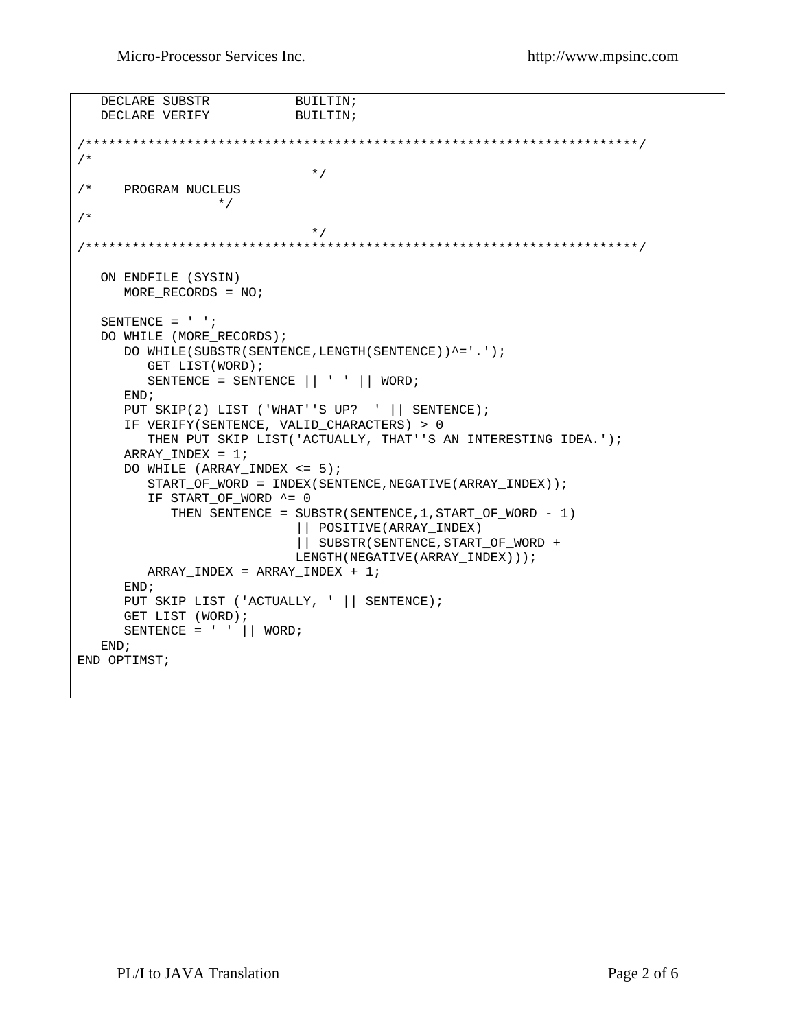Micro-Processor Services Inc. http://www.mpsinc.com

```
DECLARE SUBSTR BUILTIN;
  DECLARE VERIFY BUILTIN;
/***********************************************************************/ 
/* 
\star//* PROGRAM NUCLEUS 
         * /
/* 
\star//***********************************************************************/ 
   ON ENDFILE (SYSIN) 
      MORE_RECORDS = NO; 
   SENTENCE = ' '; 
   DO WHILE (MORE_RECORDS); 
     DO WHILE(SUBSTR(SENTENCE, LENGTH(SENTENCE))^='.');
         GET LIST(WORD); 
         SENTENCE = SENTENCE || ' ' || WORD; 
      END; 
     PUT SKIP(2) LIST ('WHAT''S UP? ' || SENTENCE);
     IF VERIFY(SENTENCE, VALID CHARACTERS) > 0
         THEN PUT SKIP LIST('ACTUALLY, THAT''S AN INTERESTING IDEA.'); 
     ARRAY_INDEX = 1; DO WHILE (ARRAY_INDEX <= 5); 
        START_OF_WORD = INDEX(SENTENCE, NEGATIVE(ARRAY_INDEX));
         IF START_OF_WORD ^= 0 
            THEN SENTENCE = SUBSTR(SENTENCE,1,START_OF_WORD - 1) 
                            || POSITIVE(ARRAY_INDEX) 
                            || SUBSTR(SENTENCE,START_OF_WORD + 
                            LENGTH(NEGATIVE(ARRAY_INDEX))); 
         ARRAY_INDEX = ARRAY_INDEX + 1; 
      END; 
     PUT SKIP LIST ('ACTUALLY, ' || SENTENCE);
      GET LIST (WORD); 
     SENTENCE = ' || WORD;
   END; 
END OPTIMST;
```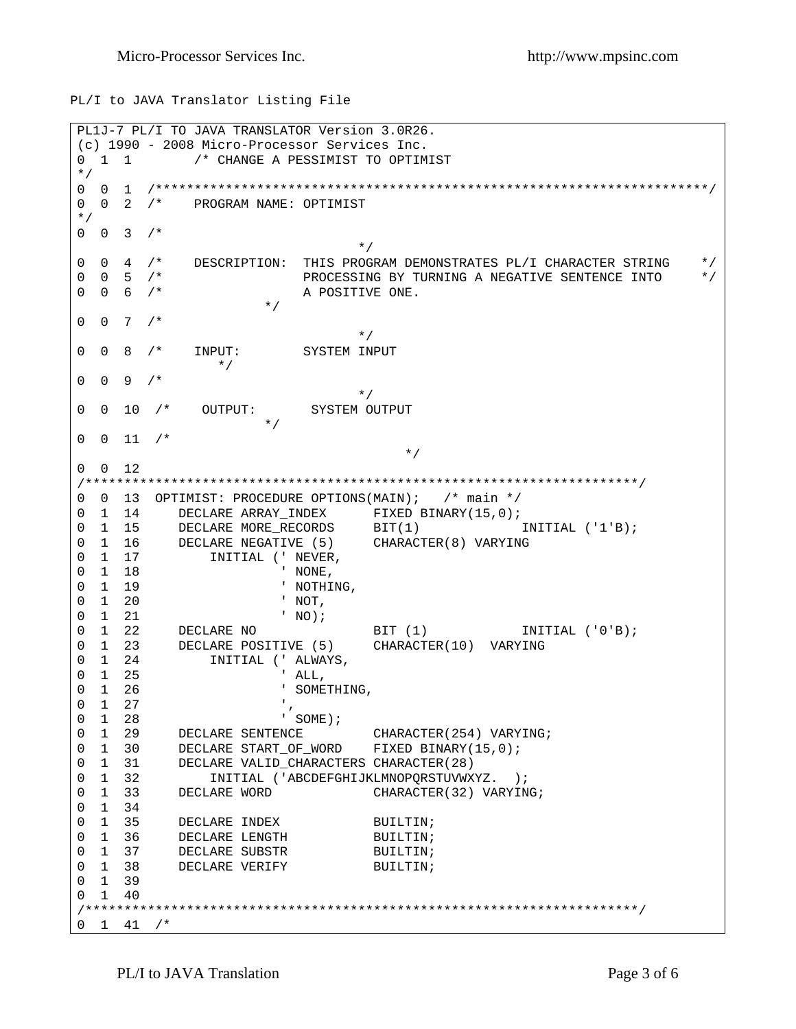PL/I to JAVA Translator Listing File

```
PL1J-7 PL/I TO JAVA TRANSLATOR Version 3.0R26. 
(c) 1990 - 2008 Micro-Processor Services Inc. 
0 1 1 /* CHANGE A PESSIMIST TO OPTIMIST
*/ 
0 0 1 /***********************************************************************/ 
0 0 2 /* PROGRAM NAME: OPTIMIST
*/ 
0 \t 0 \t 3 \t 1* /
0 0 4 /* DESCRIPTION: THIS PROGRAM DEMONSTRATES PL/I CHARACTER STRING */
0 0 5 \frac{1}{2} PROCESSING BY TURNING A NEGATIVE SENTENCE INTO \frac{1}{2} +/
                   A POSITIVE ONE. * /
\star/0 \t 0 \t 7 \t* /
0 0 8 /* INPUT: SYSTEM INPUT
             */
0 \t 0 \t 9 \t /\t ** /
0 0 10 /* OUTPUT: SYSTEM OUTPUT
0 \t 0 \t 11 /*
\star/0 0 12 
/***********************************************************************/ 
0 0 13 OPTIMIST: PROCEDURE OPTIONS(MAIN); /* main */<br>0 1 14 DECLARE ARRAY INDEX FIXED BINARY(15,0);
0 1 14 DECLARE ARRAY_INDEX FIXED BINARY(15,0);
0 1 15 DECLARE MORE_RECORDS BIT(1) INITIAL ('1'B);
0 1 16 DECLARE NEGATIVE (5) CHARACTER(8) VARYING 
0 1 17 INITIAL (' NEVER, 
0 1 18 ' NONE,
0 1 19 ' NOTHING,
0 1 20 ' NOT, 
0 1 21 ' NO);
0 1 22 DECLARE NO BIT (1) INITIAL ('0'B);
0 1 23 DECLARE POSITIVE (5) CHARACTER(10) VARYING 
0 1 24 INITIAL (' ALWAYS, 
0 1 25 ' ALL, 
0 1 26 ' SOMETHING,
\begin{matrix} 0 & 1 & 27 \\ 0 & 1 & 28 \end{matrix} , \qquad \qquad \begin{matrix} \cdot \\ \cdot \\ \cdot \end{matrix} \text{SOME} \text{)} \; ;0 1 28 ' SOME);
0 1 29 DECLARE SENTENCE CHARACTER(254) VARYING;
0 1 30 DECLARE START_OF_WORD FIXED BINARY(15,0);
0 1 31 DECLARE VALID_CHARACTERS CHARACTER(28) 
0 1 32 INITIAL ('ABCDEFGHIJKLMNOPQRSTUVWXYZ. );
0 1 33 DECLARE WORD CHARACTER(32) VARYING;
0 1 34 
0 1 35 DECLARE INDEX BUILTIN;
0 1 36 DECLARE LENGTH BUILTIN;
0 1 37 DECLARE SUBSTR BUILTIN;
0 1 38 DECLARE VERIFY BUILTIN;
0 1 39 
0 1 40 
/***********************************************************************/ 
0 \quad 1 \quad 41 \quad /*
```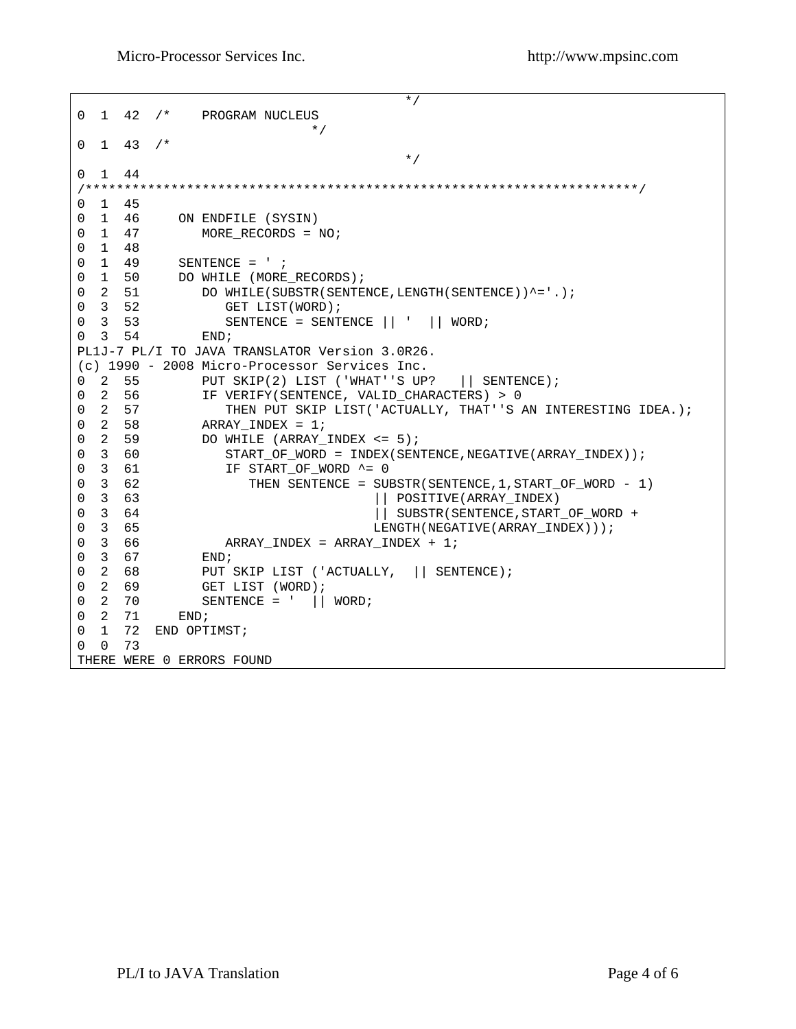```
\star/0 1 42 /* PROGRAM NUCLEUS
\star/0 \quad 1 \quad 43 \quad /*\star/0 1 44 
/***********************************************************************/ 
\begin{array}{ccc} 0 & 1 & 45 \\ 0 & 1 & 46 \end{array}0 1 46 ON ENDFILE (SYSIN) 
0 1 47 MORE_RECORDS = NO;
0 1 48 
0 1 49 SENTENCE = ' ;
0 1 50 DO WHILE (MORE_RECORDS);
0 2 51 DO WHILE(SUBSTR(SENTENCE, LENGTH(SENTENCE))^='.);
0 3 52 GET LIST(WORD);
0 3 53 SENTENCE = SENTENCE || ' || WORD;
0 3 \t 54 END;
PL1J-7 PL/I TO JAVA TRANSLATOR Version 3.0R26. 
(c) 1990 - 2008 Micro-Processor Services Inc. 
0 2 55 PUT SKIP(2) LIST ('WHAT''S UP? || SENTENCE);<br>0 2 56 IF VERIFY(SENTENCE, VALID CHARACTERS) > 0
0 2 56 IF VERIFY(SENTENCE, VALID_CHARACTERS) > 0<br>0 2 57 THEN PUT SKIP LIST('ACTUALLY, THAT''S
0 2 57 THEN PUT SKIP LIST('ACTUALLY, THAT''S AN INTERESTING IDEA.);<br>0 2 58 ARRAY INDEX = 1;
  2 58 ARRAY_INDEX = 1;<br>2 59 DO WHILE (ARRAY_
0 2 59 DO WHILE (ARRAY_INDEX <= 5);<br>0 3 60 START_OF_WORD = INDEX(SEN)
0 3 60 START_OF_WORD = INDEX(SENTENCE,NEGATIVE(ARRAY_INDEX));<br>0 3 61               IF START_OF_WORD ^= 0
                   0 3 61 IF START_OF_WORD ^= 0 
0 3 62 THEN SENTENCE = SUBSTR(SENTENCE, 1, START_OF_WORD - 1)<br>0 3 63 | | POSITIVE(ARRAY INDEX)
0 3 63 || POSITIVE(ARRAY_INDEX) 
0 3 64 \vert SUBSTR(SENTENCE, START_OF_WORD + \vert SUBSTR(SENTENCE, START_OF_WORD +
0 3 65 LENGTH(NEGATIVE(ARRAY_INDEX)));<br>0 3 66 ARRAY_INDEX = ARRAY_INDEX + 1;
                \begin{aligned} \text{ARRAY\_INDEX} \; = \; \text{ARRAY\_INDEX} \; + \; 1 \, ; \\ \text{END:} \end{aligned}0 3 67
0 2 68 PUT SKIP LIST ('ACTUALLY, | | SENTENCE);
0 2 69 GET LIST (WORD);
0 \quad 2 \quad 70 \quad SENTENCE = ' || WORD;
0 2 09<br>0 2 70 SI<br>0 2 71 END;
0 1 72 END OPTIMST;
0 0 73 
THERE WERE 0 ERRORS FOUND
```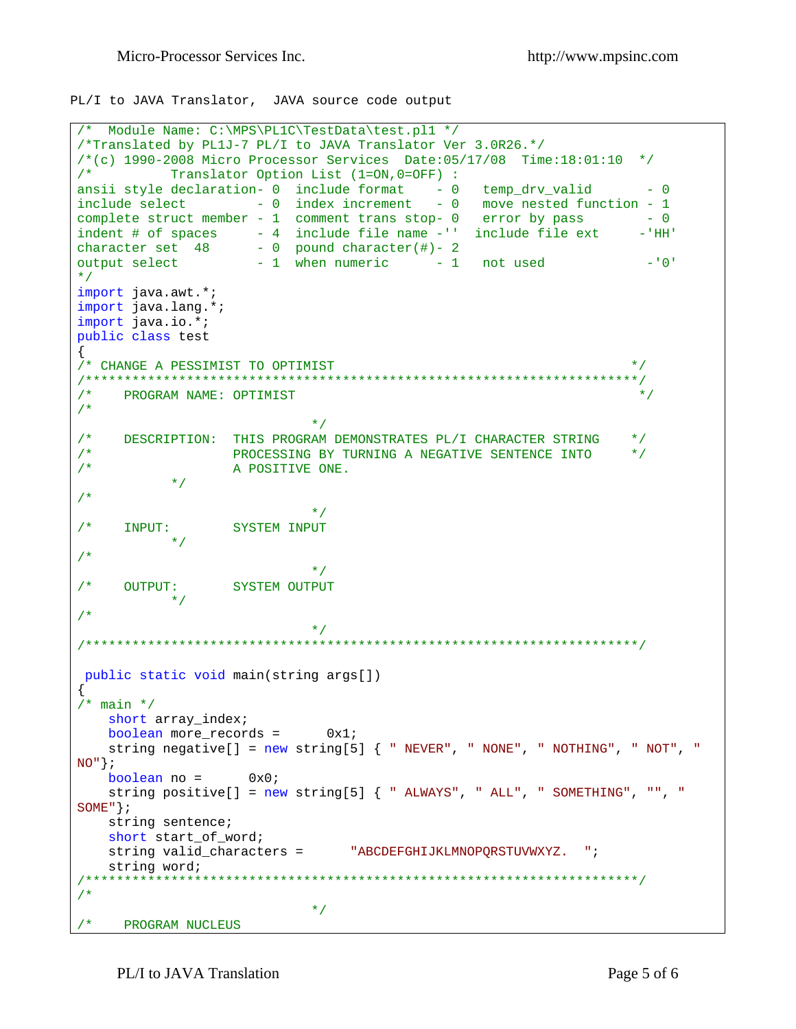PL/I to JAVA Translator, JAVA source code output

```
/* Module Name: C:\MPS\PL1C\TestData\test.pl1 */
/*Translated by PL1J-7 PL/I to JAVA Translator Ver 3.0R26.*/
/*(c) 1990-2008 Micro Processor Services Date:05/17/08 Time:18:01:10 */
/*
      Translator Option List (1=ON, 0=OFF):
ansii style declaration- 0 include format - 0 temp_drv_valid
                                                                       - 0include select -0 index increment -0 move nested function -1complete struct member - 1 comment trans stop- 0 error by pass - 0<br>indent # of spaces - 4 include file name -'' include file ext -'HH
                                                                      - 'HH'
character set \begin{array}{ccc} 48 & -0 & \text{pound character}(\#)-2 \\ \text{output select} & -1 & \text{when numeric} & -1 \end{array} not used
                                                                       -101\star /
import java.awt.*;
import java.lang.*;
import java.io.*;
public class test
\left\{ \right./* CHANGE A PESSIMIST TO OPTIMIST
                                                                      \star /
/ *
    PROGRAM NAME: OPTIMIST
                                                                       \star /
/ *
                             \star /
   DESCRIPTION: THIS PROGRAM DEMONSTRATES PL/I CHARACTER STRING */<br>DESCRIPTION: THIS PROGRAM DEMONSTRATES PL/I CHARACTER STRING */
/ *
/*
/*
                  A POSITIVE ONE.
           \star /
/ *
                             \star /
     INPUT: SYSTEM INPUT
/*
           \star /
/*
                             * /
/* OUTPUT: SYSTEM OUTPUT
         \star /
/ *
                             \star /
public static void main(string args[])
/* main */short array_index;
   boolean more records = 0x1;
   string negative[] = new string[5] { " NEVER", " NONE", " NOTHING", " NOT", "
NO''};
   boolean no = 0x0;
   string positive[] = new string[5] { " ALWAYS", " ALL", " SOMETHING", "", "
SOME "\} ;
   string sentence;
   short start of word;
   string valid_characters = "ABCDEFGHIJKLMNOPQRSTUVWXYZ. ";
   string word;
/ *
                             \star /
/* PROGRAM NUCLEUS
```